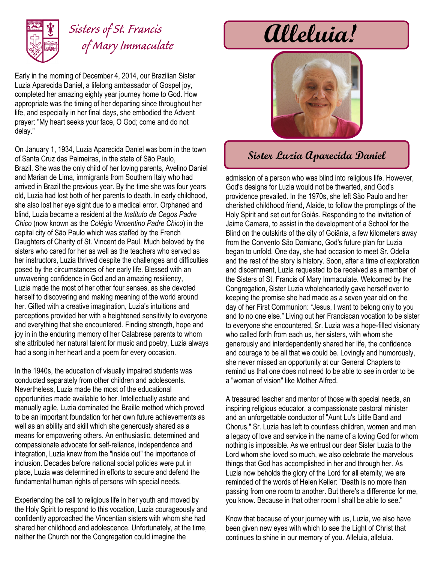

## *Sisters of St. Francis of Mary Immaculate*

Early in the morning of December 4, 2014, our Brazilian Sister Luzia Aparecida Daniel, a lifelong ambassador of Gospel joy, completed her amazing eighty year journey home to God. How appropriate was the timing of her departing since throughout her life, and especially in her final days, she embodied the Advent prayer: "My heart seeks your face, O God; come and do not delay."

On January 1, 1934, Luzia Aparecida Daniel was born in the town of Santa Cruz das Palmeiras, in the state of São Paulo, Brazil. She was the only child of her loving parents, Avelino Daniel and Marian de Lima, immigrants from Southern Italy who had arrived in Brazil the previous year. By the time she was four years old, Luzia had lost both of her parents to death. In early childhood, she also lost her eye sight due to a medical error. Orphaned and blind, Luzia became a resident at the *Instituto de Cegos Padre Chico* (now known as the *Colégio Vincentino Padre Chico*) in the capital city of São Paulo which was staffed by the French Daughters of Charity of St. Vincent de Paul. Much beloved by the sisters who cared for her as well as the teachers who served as her instructors, Luzia thrived despite the challenges and difficulties posed by the circumstances of her early life. Blessed with an unwavering confidence in God and an amazing resiliency, Luzia made the most of her other four senses, as she devoted herself to discovering and making meaning of the world around her. Gifted with a creative imagination, Luzia's intuitions and perceptions provided her with a heightened sensitivity to everyone and everything that she encountered. Finding strength, hope and joy in in the enduring memory of her Calabrese parents to whom she attributed her natural talent for music and poetry, Luzia always had a song in her heart and a poem for every occasion.

In the 1940s, the education of visually impaired students was conducted separately from other children and adolescents. Nevertheless, Luzia made the most of the educational opportunities made available to her. Intellectually astute and manually agile, Luzia dominated the Braille method which proved to be an important foundation for her own future achievements as well as an ability and skill which she generously shared as a means for empowering others. An enthusiastic, determined and compassionate advocate for self-reliance, independence and integration, Luzia knew from the "inside out" the importance of inclusion. Decades before national social policies were put in place, Luzia was determined in efforts to secure and defend the fundamental human rights of persons with special needs.

Experiencing the call to religious life in her youth and moved by the Holy Spirit to respond to this vocation, Luzia courageously and confidently approached the Vincentian sisters with whom she had shared her childhood and adolescence. Unfortunately, at the time, neither the Church nor the Congregation could imagine the

## **Alleluia!**



## **Sister Luzia Aparecida Daniel**

admission of a person who was blind into religious life. However, God's designs for Luzia would not be thwarted, and God's providence prevailed. In the 1970s, she left São Paulo and her cherished childhood friend, Alaide, to follow the promptings of the Holy Spirit and set out for Goiás. Responding to the invitation of Jaime Camara, to assist in the development of a School for the Blind on the outskirts of the city of Goiânia, a few kilometers away from the Convento São Damiano, God's future plan for Luzia began to unfold. One day, she had occasion to meet Sr. Odelia and the rest of the story is history. Soon, after a time of exploration and discernment, Luzia requested to be received as a member of the Sisters of St. Francis of Mary Immaculate. Welcomed by the Congregation, Sister Luzia wholeheartedly gave herself over to keeping the promise she had made as a seven year old on the day of her First Communion: "Jesus, I want to belong only to you and to no one else." Living out her Franciscan vocation to be sister to everyone she encountered, Sr. Luzia was a hope-filled visionary who called forth from each us, her sisters, with whom she generously and interdependently shared her life, the confidence and courage to be all that we could be. Lovingly and humorously, she never missed an opportunity at our General Chapters to remind us that one does not need to be able to see in order to be a "woman of vision" like Mother Alfred.

A treasured teacher and mentor of those with special needs, an inspiring religious educator, a compassionate pastoral minister and an unforgettable conductor of "Aunt Lu's Little Band and Chorus," Sr. Luzia has left to countless children, women and men a legacy of love and service in the name of a loving God for whom nothing is impossible. As we entrust our dear Sister Luzia to the Lord whom she loved so much, we also celebrate the marvelous things that God has accomplished in her and through her. As Luzia now beholds the glory of the Lord for all eternity, we are reminded of the words of Helen Keller: "Death is no more than passing from one room to another. But there's a difference for me, you know. Because in that other room I shall be able to see."

Know that because of your journey with us, Luzia, we also have been given new eyes with which to see the Light of Christ that continues to shine in our memory of you. Alleluia, alleluia.